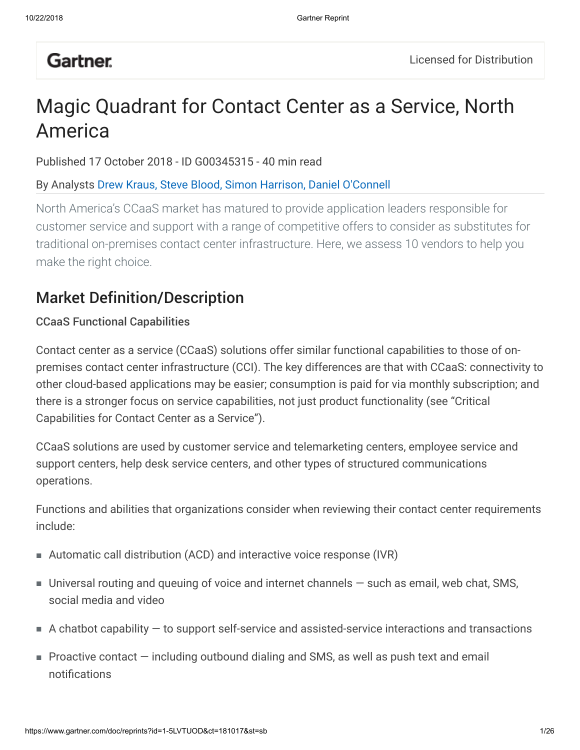# **Gartner**

# Magic Quadrant for Contact Center as a Service, North America

Published 17 October 2018 - ID G00345315 - 40 min read

## By Analysts Drew Kraus, Steve Blood, Simon Harrison, Daniel O'Connell

North America's CCaaS market has matured to provide application leaders responsible for customer service and support with a range of competitive offers to consider as substitutes for traditional on-premises contact center infrastructure. Here, we assess 10 vendors to help you make the right choice.

# Market Definition/Description

## CCaaS Functional Capabilities

Contact center as a service (CCaaS) solutions offer similar functional capabilities to those of onpremises contact center infrastructure (CCI). The key differences are that with CCaaS: connectivity to other cloud-based applications may be easier; consumption is paid for via monthly subscription; and there is a stronger focus on service capabilities, not just product functionality (see "Critical Capabilities for Contact Center as a Service").

CCaaS solutions are used by customer service and telemarketing centers, employee service and support centers, help desk service centers, and other types of structured communications operations.

Functions and abilities that organizations consider when reviewing their contact center requirements include:

- Automatic call distribution (ACD) and interactive voice response (IVR)
- Universal routing and queuing of voice and internet channels such as email, web chat, SMS, social media and video
- $\blacksquare$  A chatbot capability  $-$  to support self-service and assisted-service interactions and transactions
- Proactive contact including outbound dialing and SMS, as well as push text and email notifications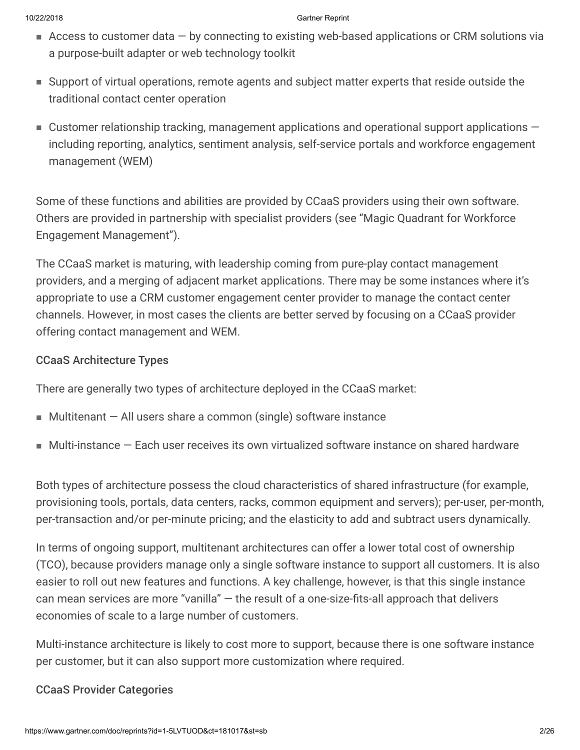- Access to customer data by connecting to existing web-based applications or CRM solutions via a purpose-built adapter or web technology toolkit
- Support of virtual operations, remote agents and subject matter experts that reside outside the traditional contact center operation
- $\blacksquare$  Customer relationship tracking, management applications and operational support applications  $$ including reporting, analytics, sentiment analysis, self-service portals and workforce engagement management (WEM)

Some of these functions and abilities are provided by CCaaS providers using their own software. Others are provided in partnership with specialist providers (see "Magic Quadrant for Workforce Engagement Management").

The CCaaS market is maturing, with leadership coming from pure-play contact management providers, and a merging of adjacent market applications. There may be some instances where it's appropriate to use a CRM customer engagement center provider to manage the contact center channels. However, in most cases the clients are better served by focusing on a CCaaS provider offering contact management and WEM.

#### CCaaS Architecture Types

There are generally two types of architecture deployed in the CCaaS market:

- $\blacksquare$  Multitenant  $-$  All users share a common (single) software instance
- Multi-instance Each user receives its own virtualized software instance on shared hardware

Both types of architecture possess the cloud characteristics of shared infrastructure (for example, provisioning tools, portals, data centers, racks, common equipment and servers); per-user, per-month, per-transaction and/or per-minute pricing; and the elasticity to add and subtract users dynamically.

In terms of ongoing support, multitenant architectures can offer a lower total cost of ownership (TCO), because providers manage only a single software instance to support all customers. It is also easier to roll out new features and functions. A key challenge, however, is that this single instance can mean services are more "vanilla" — the result of a one-size-fits-all approach that delivers economies of scale to a large number of customers.

Multi-instance architecture is likely to cost more to support, because there is one software instance per customer, but it can also support more customization where required.

## CCaaS Provider Categories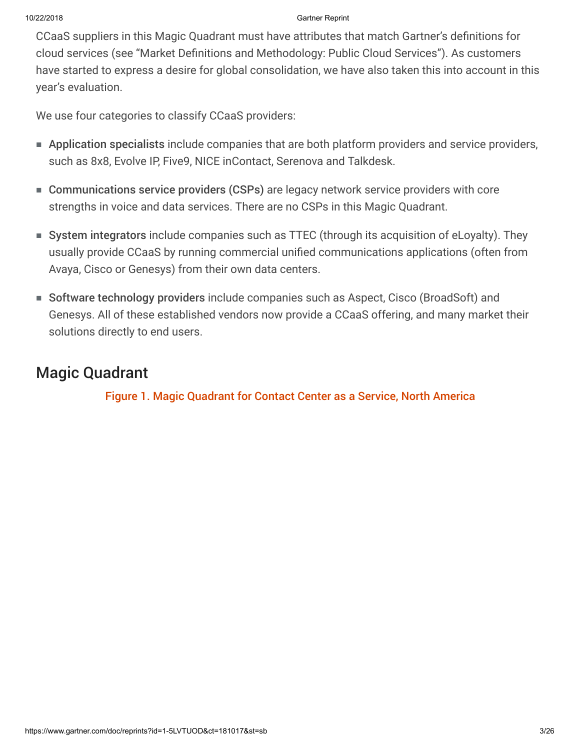CCaaS suppliers in this Magic Quadrant must have attributes that match Gartner's definitions for cloud services (see "Market Definitions and Methodology: Public Cloud Services"). As customers have started to express a desire for global consolidation, we have also taken this into account in this year's evaluation.

We use four categories to classify CCaaS providers:

- Application specialists include companies that are both platform providers and service providers, such as 8x8, Evolve IP, Five9, NICE inContact, Serenova and Talkdesk.
- Communications service providers (CSPs) are legacy network service providers with core strengths in voice and data services. There are no CSPs in this Magic Quadrant.
- System integrators include companies such as TTEC (through its acquisition of eLoyalty). They usually provide CCaaS by running commercial unified communications applications (often from Avaya, Cisco or Genesys) from their own data centers.
- Software technology providers include companies such as Aspect, Cisco (BroadSoft) and Genesys. All of these established vendors now provide a CCaaS offering, and many market their solutions directly to end users.

# Magic Quadrant

Figure 1. Magic Quadrant for Contact Center as a Service, North America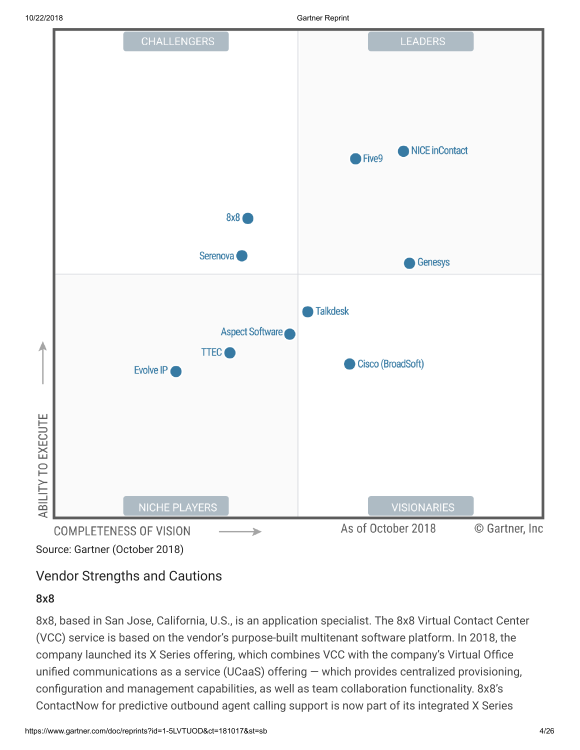

# Vendor Strengths and Cautions

#### 8x8

8x8, based in San Jose, California, U.S., is an application specialist. The 8x8 Virtual Contact Center (VCC) service is based on the vendor's purpose-built multitenant software platform. In 2018, the company launched its X Series offering, which combines VCC with the company's Virtual Office unified communications as a service (UCaaS) offering — which provides centralized provisioning, configuration and management capabilities, as well as team collaboration functionality. 8x8's ContactNow for predictive outbound agent calling support is now part of its integrated X Series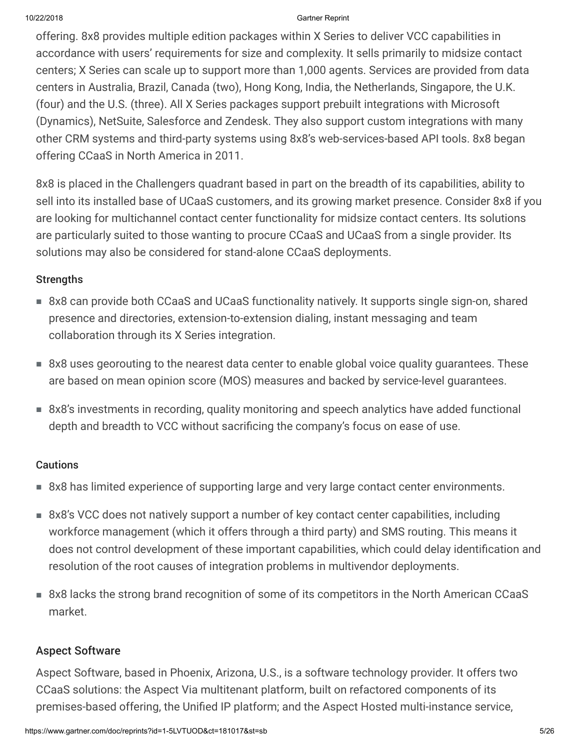offering. 8x8 provides multiple edition packages within X Series to deliver VCC capabilities in accordance with users' requirements for size and complexity. It sells primarily to midsize contact centers; X Series can scale up to support more than 1,000 agents. Services are provided from data centers in Australia, Brazil, Canada (two), Hong Kong, India, the Netherlands, Singapore, the U.K. (four) and the U.S. (three). All X Series packages support prebuilt integrations with Microsoft (Dynamics), NetSuite, Salesforce and Zendesk. They also support custom integrations with many other CRM systems and third-party systems using 8x8's web-services-based API tools. 8x8 began offering CCaaS in North America in 2011.

8x8 is placed in the Challengers quadrant based in part on the breadth of its capabilities, ability to sell into its installed base of UCaaS customers, and its growing market presence. Consider 8x8 if you are looking for multichannel contact center functionality for midsize contact centers. Its solutions are particularly suited to those wanting to procure CCaaS and UCaaS from a single provider. Its solutions may also be considered for stand-alone CCaaS deployments.

#### Strengths

- 8x8 can provide both CCaaS and UCaaS functionality natively. It supports single sign-on, shared presence and directories, extension-to-extension dialing, instant messaging and team collaboration through its X Series integration.
- 8x8 uses georouting to the nearest data center to enable global voice quality guarantees. These are based on mean opinion score (MOS) measures and backed by service-level guarantees.
- 8x8's investments in recording, quality monitoring and speech analytics have added functional depth and breadth to VCC without sacrificing the company's focus on ease of use.

## **Cautions**

- 8x8 has limited experience of supporting large and very large contact center environments.
- 8x8's VCC does not natively support a number of key contact center capabilities, including workforce management (which it offers through a third party) and SMS routing. This means it does not control development of these important capabilities, which could delay identification and resolution of the root causes of integration problems in multivendor deployments.
- 8x8 lacks the strong brand recognition of some of its competitors in the North American CCaaS market.

# Aspect Software

Aspect Software, based in Phoenix, Arizona, U.S., is a software technology provider. It offers two CCaaS solutions: the Aspect Via multitenant platform, built on refactored components of its premises-based offering, the Unified IP platform; and the Aspect Hosted multi-instance service,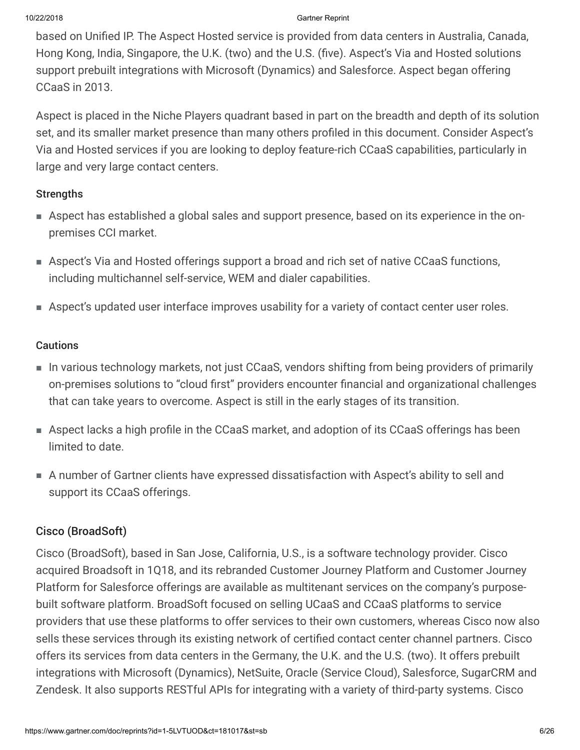based on Unified IP. The Aspect Hosted service is provided from data centers in Australia, Canada, Hong Kong, India, Singapore, the U.K. (two) and the U.S. (five). Aspect's Via and Hosted solutions support prebuilt integrations with Microsoft (Dynamics) and Salesforce. Aspect began offering CCaaS in 2013.

Aspect is placed in the Niche Players quadrant based in part on the breadth and depth of its solution set, and its smaller market presence than many others profiled in this document. Consider Aspect's Via and Hosted services if you are looking to deploy feature-rich CCaaS capabilities, particularly in large and very large contact centers.

#### **Strengths**

- Aspect has established a global sales and support presence, based on its experience in the on-■ premises CCI market.
- Aspect's Via and Hosted offerings support a broad and rich set of native CCaaS functions, including multichannel self-service, WEM and dialer capabilities.
- Aspect's updated user interface improves usability for a variety of contact center user roles.

#### **Cautions**

- In various technology markets, not just CCaaS, vendors shifting from being providers of primarily on-premises solutions to "cloud first" providers encounter financial and organizational challenges that can take years to overcome. Aspect is still in the early stages of its transition.
- Aspect lacks a high profile in the CCaaS market, and adoption of its CCaaS offerings has been limited to date.
- A number of Gartner clients have expressed dissatisfaction with Aspect's ability to sell and support its CCaaS offerings.

## Cisco (BroadSoft)

Cisco (BroadSoft), based in San Jose, California, U.S., is a software technology provider. Cisco acquired Broadsoft in 1Q18, and its rebranded Customer Journey Platform and Customer Journey Platform for Salesforce offerings are available as multitenant services on the company's purposebuilt software platform. BroadSoft focused on selling UCaaS and CCaaS platforms to service providers that use these platforms to offer services to their own customers, whereas Cisco now also sells these services through its existing network of certified contact center channel partners. Cisco offers its services from data centers in the Germany, the U.K. and the U.S. (two). It offers prebuilt integrations with Microsoft (Dynamics), NetSuite, Oracle (Service Cloud), Salesforce, SugarCRM and Zendesk. It also supports RESTful APIs for integrating with a variety of third-party systems. Cisco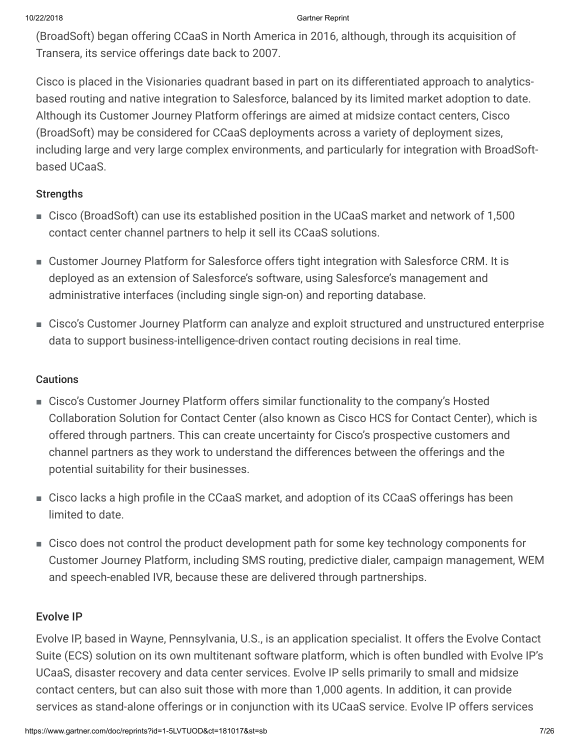(BroadSoft) began offering CCaaS in North America in 2016, although, through its acquisition of Transera, its service offerings date back to 2007.

Cisco is placed in the Visionaries quadrant based in part on its differentiated approach to analyticsbased routing and native integration to Salesforce, balanced by its limited market adoption to date. Although its Customer Journey Platform offerings are aimed at midsize contact centers, Cisco (BroadSoft) may be considered for CCaaS deployments across a variety of deployment sizes, including large and very large complex environments, and particularly for integration with BroadSoftbased UCaaS.

## **Strengths**

- Cisco (BroadSoft) can use its established position in the UCaaS market and network of 1,500 contact center channel partners to help it sell its CCaaS solutions.
- Customer Journey Platform for Salesforce offers tight integration with Salesforce CRM. It is deployed as an extension of Salesforce's software, using Salesforce's management and administrative interfaces (including single sign-on) and reporting database.
- Cisco's Customer Journey Platform can analyze and exploit structured and unstructured enterprise data to support business-intelligence-driven contact routing decisions in real time.

## Cautions

- Cisco's Customer Journey Platform offers similar functionality to the company's Hosted Collaboration Solution for Contact Center (also known as Cisco HCS for Contact Center), which is offered through partners. This can create uncertainty for Cisco's prospective customers and channel partners as they work to understand the differences between the offerings and the potential suitability for their businesses.
- Cisco lacks a high profile in the CCaaS market, and adoption of its CCaaS offerings has been limited to date.
- Cisco does not control the product development path for some key technology components for ■Customer Journey Platform, including SMS routing, predictive dialer, campaign management, WEM and speech-enabled IVR, because these are delivered through partnerships.

# Evolve IP

Evolve IP, based in Wayne, Pennsylvania, U.S., is an application specialist. It offers the Evolve Contact Suite (ECS) solution on its own multitenant software platform, which is often bundled with Evolve IP's UCaaS, disaster recovery and data center services. Evolve IP sells primarily to small and midsize contact centers, but can also suit those with more than 1,000 agents. In addition, it can provide services as stand-alone offerings or in conjunction with its UCaaS service. Evolve IP offers services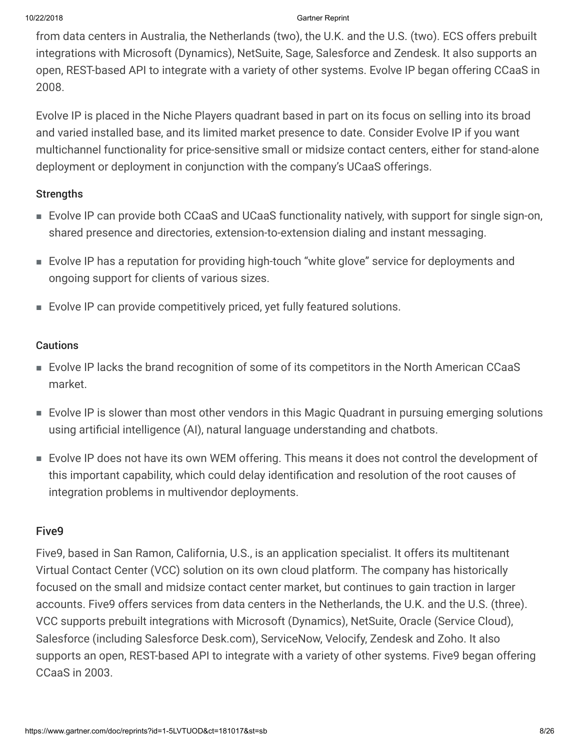from data centers in Australia, the Netherlands (two), the U.K. and the U.S. (two). ECS offers prebuilt integrations with Microsoft (Dynamics), NetSuite, Sage, Salesforce and Zendesk. It also supports an open, REST-based API to integrate with a variety of other systems. Evolve IP began offering CCaaS in 2008.

Evolve IP is placed in the Niche Players quadrant based in part on its focus on selling into its broad and varied installed base, and its limited market presence to date. Consider Evolve IP if you want multichannel functionality for price-sensitive small or midsize contact centers, either for stand-alone deployment or deployment in conjunction with the company's UCaaS offerings.

#### **Strengths**

- Evolve IP can provide both CCaaS and UCaaS functionality natively, with support for single sign-on, shared presence and directories, extension-to-extension dialing and instant messaging.
- Evolve IP has a reputation for providing high-touch "white glove" service for deployments and ongoing support for clients of various sizes.
- Evolve IP can provide competitively priced, yet fully featured solutions.

## **Cautions**

- Evolve IP lacks the brand recognition of some of its competitors in the North American CCaaS market.
- Evolve IP is slower than most other vendors in this Magic Quadrant in pursuing emerging solutions using artificial intelligence (AI), natural language understanding and chatbots.
- Evolve IP does not have its own WEM offering. This means it does not control the development of this important capability, which could delay identification and resolution of the root causes of integration problems in multivendor deployments.

# Five9

Five9, based in San Ramon, California, U.S., is an application specialist. It offers its multitenant Virtual Contact Center (VCC) solution on its own cloud platform. The company has historically focused on the small and midsize contact center market, but continues to gain traction in larger accounts. Five9 offers services from data centers in the Netherlands, the U.K. and the U.S. (three). VCC supports prebuilt integrations with Microsoft (Dynamics), NetSuite, Oracle (Service Cloud), Salesforce (including Salesforce Desk.com), ServiceNow, Velocify, Zendesk and Zoho. It also supports an open, REST-based API to integrate with a variety of other systems. Five9 began offering CCaaS in 2003.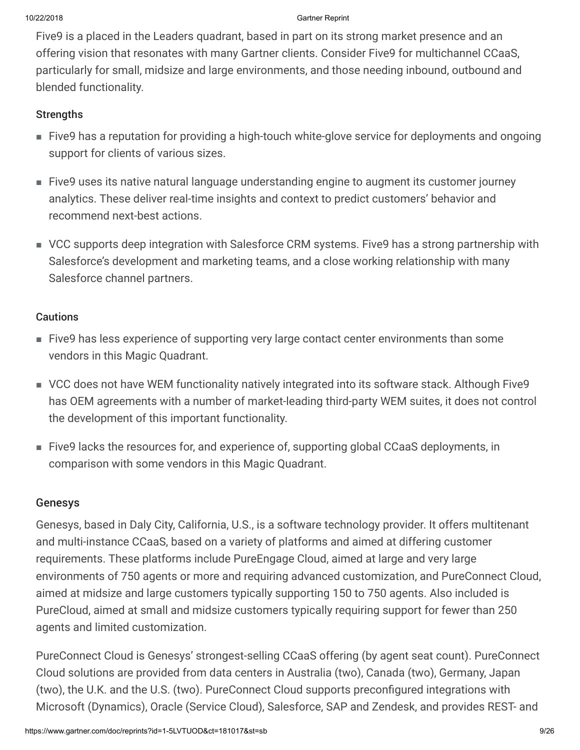Five9 is a placed in the Leaders quadrant, based in part on its strong market presence and an offering vision that resonates with many Gartner clients. Consider Five9 for multichannel CCaaS, particularly for small, midsize and large environments, and those needing inbound, outbound and blended functionality.

#### **Strengths**

- Five9 has a reputation for providing a high-touch white-glove service for deployments and ongoing support for clients of various sizes.
- Five9 uses its native natural language understanding engine to augment its customer journey analytics. These deliver real-time insights and context to predict customers' behavior and recommend next-best actions.
- VCC supports deep integration with Salesforce CRM systems. Five9 has a strong partnership with Salesforce's development and marketing teams, and a close working relationship with many Salesforce channel partners.

#### Cautions

- Five9 has less experience of supporting very large contact center environments than some vendors in this Magic Quadrant.
- VCC does not have WEM functionality natively integrated into its software stack. Although Five9 has OEM agreements with a number of market-leading third-party WEM suites, it does not control the development of this important functionality.
- Five9 lacks the resources for, and experience of, supporting global CCaaS deployments, in comparison with some vendors in this Magic Quadrant.

## Genesys

Genesys, based in Daly City, California, U.S., is a software technology provider. It offers multitenant and multi-instance CCaaS, based on a variety of platforms and aimed at differing customer requirements. These platforms include PureEngage Cloud, aimed at large and very large environments of 750 agents or more and requiring advanced customization, and PureConnect Cloud, aimed at midsize and large customers typically supporting 150 to 750 agents. Also included is PureCloud, aimed at small and midsize customers typically requiring support for fewer than 250 agents and limited customization.

PureConnect Cloud is Genesys' strongest-selling CCaaS offering (by agent seat count). PureConnect Cloud solutions are provided from data centers in Australia (two), Canada (two), Germany, Japan (two), the U.K. and the U.S. (two). PureConnect Cloud supports preconfigured integrations with Microsoft (Dynamics), Oracle (Service Cloud), Salesforce, SAP and Zendesk, and provides REST- and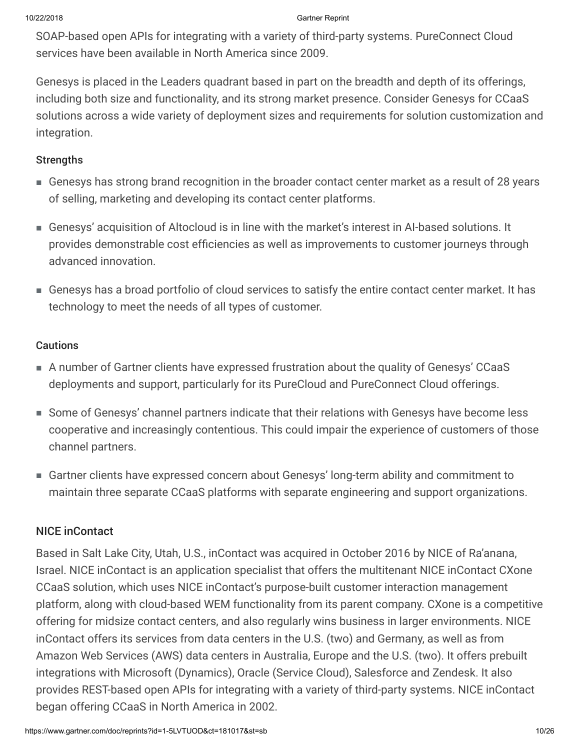SOAP-based open APIs for integrating with a variety of third-party systems. PureConnect Cloud services have been available in North America since 2009.

Genesys is placed in the Leaders quadrant based in part on the breadth and depth of its offerings, including both size and functionality, and its strong market presence. Consider Genesys for CCaaS solutions across a wide variety of deployment sizes and requirements for solution customization and integration.

#### Strengths

- Genesys has strong brand recognition in the broader contact center market as a result of 28 years of selling, marketing and developing its contact center platforms.
- Genesys' acquisition of Altocloud is in line with the market's interest in AI-based solutions. It provides demonstrable cost efficiencies as well as improvements to customer journeys through advanced innovation.
- Genesys has a broad portfolio of cloud services to satisfy the entire contact center market. It has technology to meet the needs of all types of customer.

#### **Cautions**

- A number of Gartner clients have expressed frustration about the quality of Genesys' CCaaS deployments and support, particularly for its PureCloud and PureConnect Cloud offerings.
- Some of Genesys' channel partners indicate that their relations with Genesys have become less cooperative and increasingly contentious. This could impair the experience of customers of those channel partners.
- Gartner clients have expressed concern about Genesys' long-term ability and commitment to maintain three separate CCaaS platforms with separate engineering and support organizations.

## NICE inContact

Based in Salt Lake City, Utah, U.S., inContact was acquired in October 2016 by NICE of Ra'anana, Israel. NICE inContact is an application specialist that offers the multitenant NICE inContact CXone CCaaS solution, which uses NICE inContact's purpose-built customer interaction management platform, along with cloud-based WEM functionality from its parent company. CXone is a competitive offering for midsize contact centers, and also regularly wins business in larger environments. NICE inContact offers its services from data centers in the U.S. (two) and Germany, as well as from Amazon Web Services (AWS) data centers in Australia, Europe and the U.S. (two). It offers prebuilt integrations with Microsoft (Dynamics), Oracle (Service Cloud), Salesforce and Zendesk. It also provides REST-based open APIs for integrating with a variety of third-party systems. NICE inContact began offering CCaaS in North America in 2002.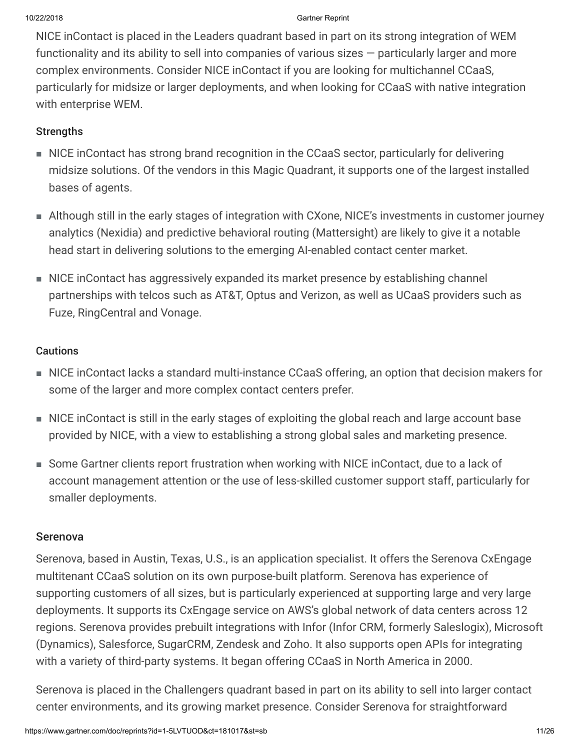NICE inContact is placed in the Leaders quadrant based in part on its strong integration of WEM functionality and its ability to sell into companies of various sizes — particularly larger and more complex environments. Consider NICE inContact if you are looking for multichannel CCaaS, particularly for midsize or larger deployments, and when looking for CCaaS with native integration with enterprise WEM.

## **Strengths**

- NICE inContact has strong brand recognition in the CCaaS sector, particularly for delivering midsize solutions. Of the vendors in this Magic Quadrant, it supports one of the largest installed bases of agents.
- Although still in the early stages of integration with CXone, NICE's investments in customer journey analytics (Nexidia) and predictive behavioral routing (Mattersight) are likely to give it a notable head start in delivering solutions to the emerging AI-enabled contact center market.
- NICE inContact has aggressively expanded its market presence by establishing channel partnerships with telcos such as AT&T, Optus and Verizon, as well as UCaaS providers such as Fuze, RingCentral and Vonage.

## Cautions

- NICE inContact lacks a standard multi-instance CCaaS offering, an option that decision makers for some of the larger and more complex contact centers prefer.
- NICE inContact is still in the early stages of exploiting the global reach and large account base provided by NICE, with a view to establishing a strong global sales and marketing presence.
- Some Gartner clients report frustration when working with NICE inContact, due to a lack of account management attention or the use of less-skilled customer support staff, particularly for smaller deployments.

## Serenova

Serenova, based in Austin, Texas, U.S., is an application specialist. It offers the Serenova CxEngage multitenant CCaaS solution on its own purpose-built platform. Serenova has experience of supporting customers of all sizes, but is particularly experienced at supporting large and very large deployments. It supports its CxEngage service on AWS's global network of data centers across 12 regions. Serenova provides prebuilt integrations with Infor (Infor CRM, formerly Saleslogix), Microsoft (Dynamics), Salesforce, SugarCRM, Zendesk and Zoho. It also supports open APIs for integrating with a variety of third-party systems. It began offering CCaaS in North America in 2000.

Serenova is placed in the Challengers quadrant based in part on its ability to sell into larger contact center environments, and its growing market presence. Consider Serenova for straightforward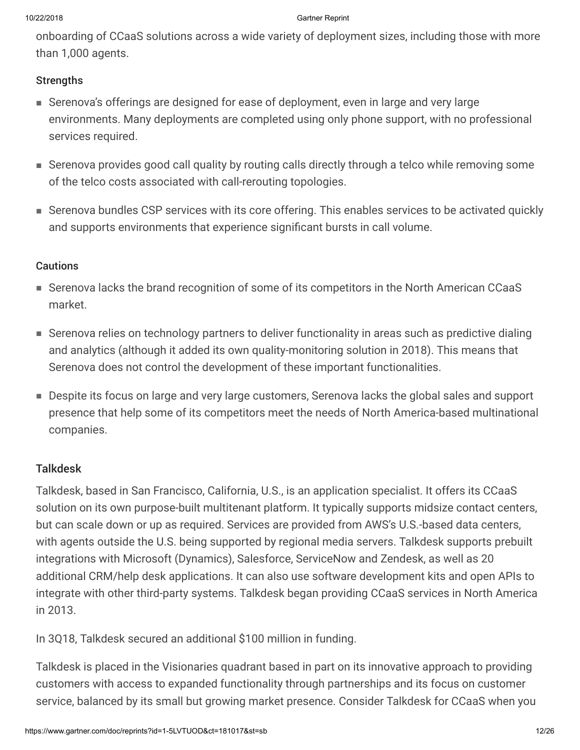onboarding of CCaaS solutions across a wide variety of deployment sizes, including those with more than 1,000 agents.

#### **Strengths**

- Serenova's offerings are designed for ease of deployment, even in large and very large environments. Many deployments are completed using only phone support, with no professional services required.
- Serenova provides good call quality by routing calls directly through a telco while removing some of the telco costs associated with call-rerouting topologies.
- Serenova bundles CSP services with its core offering. This enables services to be activated quickly and supports environments that experience significant bursts in call volume.

#### Cautions

- Serenova lacks the brand recognition of some of its competitors in the North American CCaaS market.
- Serenova relies on technology partners to deliver functionality in areas such as predictive dialing and analytics (although it added its own quality-monitoring solution in 2018). This means that Serenova does not control the development of these important functionalities.
- Despite its focus on large and very large customers, Serenova lacks the global sales and support presence that help some of its competitors meet the needs of North America-based multinational companies.

## Talkdesk

Talkdesk, based in San Francisco, California, U.S., is an application specialist. It offers its CCaaS solution on its own purpose-built multitenant platform. It typically supports midsize contact centers, but can scale down or up as required. Services are provided from AWS's U.S.-based data centers, with agents outside the U.S. being supported by regional media servers. Talkdesk supports prebuilt integrations with Microsoft (Dynamics), Salesforce, ServiceNow and Zendesk, as well as 20 additional CRM/help desk applications. It can also use software development kits and open APIs to integrate with other third-party systems. Talkdesk began providing CCaaS services in North America in 2013.

In 3Q18, Talkdesk secured an additional \$100 million in funding.

Talkdesk is placed in the Visionaries quadrant based in part on its innovative approach to providing customers with access to expanded functionality through partnerships and its focus on customer service, balanced by its small but growing market presence. Consider Talkdesk for CCaaS when you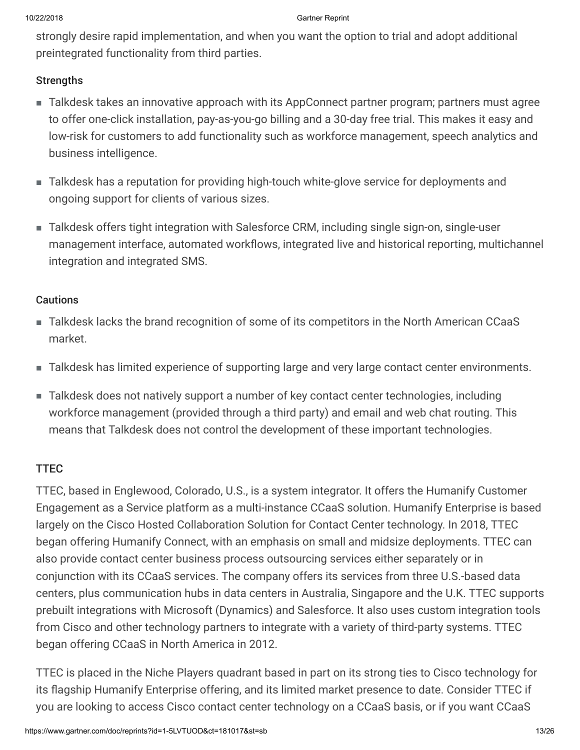strongly desire rapid implementation, and when you want the option to trial and adopt additional preintegrated functionality from third parties.

#### **Strengths**

- Talkdesk takes an innovative approach with its AppConnect partner program; partners must agree to offer one-click installation, pay-as-you-go billing and a 30-day free trial. This makes it easy and low-risk for customers to add functionality such as workforce management, speech analytics and business intelligence.
- Talkdesk has a reputation for providing high-touch white-glove service for deployments and ongoing support for clients of various sizes.
- Talkdesk offers tight integration with Salesforce CRM, including single sign-on, single-user management interface, automated workflows, integrated live and historical reporting, multichannel integration and integrated SMS.

#### **Cautions**

- Talkdesk lacks the brand recognition of some of its competitors in the North American CCaaS market.
- Talkdesk has limited experience of supporting large and very large contact center environments.
- Talkdesk does not natively support a number of key contact center technologies, including ■workforce management (provided through a third party) and email and web chat routing. This means that Talkdesk does not control the development of these important technologies.

## TTEC

TTEC, based in Englewood, Colorado, U.S., is a system integrator. It offers the Humanify Customer Engagement as a Service platform as a multi-instance CCaaS solution. Humanify Enterprise is based largely on the Cisco Hosted Collaboration Solution for Contact Center technology. In 2018, TTEC began offering Humanify Connect, with an emphasis on small and midsize deployments. TTEC can also provide contact center business process outsourcing services either separately or in conjunction with its CCaaS services. The company offers its services from three U.S.-based data centers, plus communication hubs in data centers in Australia, Singapore and the U.K. TTEC supports prebuilt integrations with Microsoft (Dynamics) and Salesforce. It also uses custom integration tools from Cisco and other technology partners to integrate with a variety of third-party systems. TTEC began offering CCaaS in North America in 2012.

TTEC is placed in the Niche Players quadrant based in part on its strong ties to Cisco technology for its flagship Humanify Enterprise offering, and its limited market presence to date. Consider TTEC if you are looking to access Cisco contact center technology on a CCaaS basis, or if you want CCaaS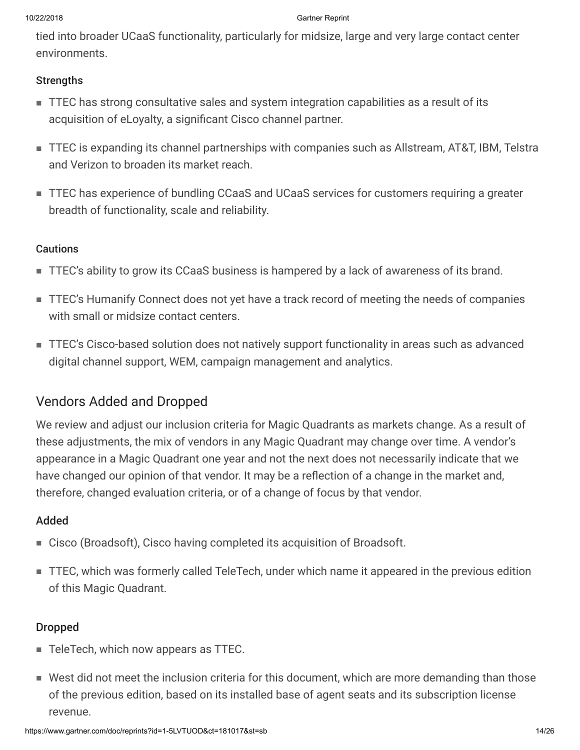tied into broader UCaaS functionality, particularly for midsize, large and very large contact center environments.

#### **Strengths**

- TTEC has strong consultative sales and system integration capabilities as a result of its acquisition of eLoyalty, a significant Cisco channel partner.
- TTEC is expanding its channel partnerships with companies such as Allstream, AT&T, IBM, Telstra and Verizon to broaden its market reach.
- TTEC has experience of bundling CCaaS and UCaaS services for customers requiring a greater breadth of functionality, scale and reliability.

#### Cautions

- TTEC's ability to grow its CCaaS business is hampered by a lack of awareness of its brand.
- TTEC's Humanify Connect does not yet have a track record of meeting the needs of companies with small or midsize contact centers.
- TTEC's Cisco-based solution does not natively support functionality in areas such as advanced digital channel support, WEM, campaign management and analytics.

# Vendors Added and Dropped

We review and adjust our inclusion criteria for Magic Quadrants as markets change. As a result of these adjustments, the mix of vendors in any Magic Quadrant may change over time. A vendor's appearance in a Magic Quadrant one year and not the next does not necessarily indicate that we have changed our opinion of that vendor. It may be a reflection of a change in the market and, therefore, changed evaluation criteria, or of a change of focus by that vendor.

## Added

- Cisco (Broadsoft), Cisco having completed its acquisition of Broadsoft.
- TTEC, which was formerly called TeleTech, under which name it appeared in the previous edition of this Magic Quadrant.

## Dropped

- TeleTech, which now appears as TTEC.
- West did not meet the inclusion criteria for this document, which are more demanding than those of the previous edition, based on its installed base of agent seats and its subscription license revenue.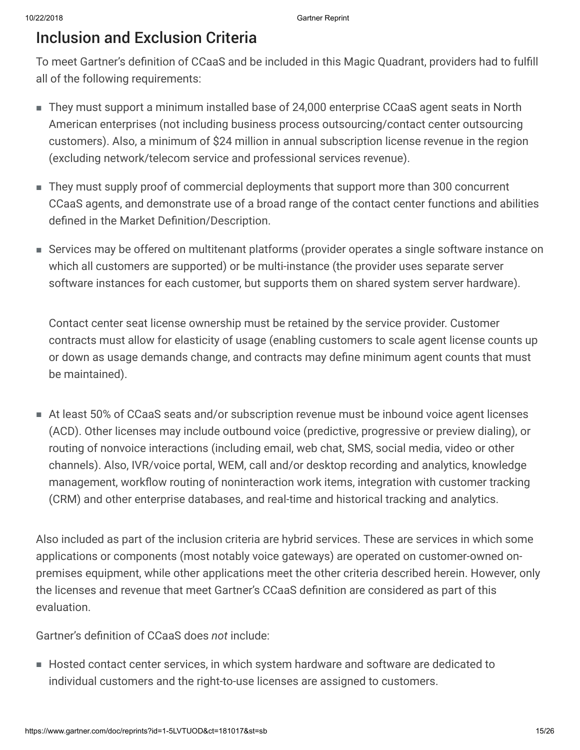# Inclusion and Exclusion Criteria

To meet Gartner's definition of CCaaS and be included in this Magic Quadrant, providers had to fulfill all of the following requirements:

- They must support a minimum installed base of 24,000 enterprise CCaaS agent seats in North American enterprises (not including business process outsourcing/contact center outsourcing customers). Also, a minimum of \$24 million in annual subscription license revenue in the region (excluding network/telecom service and professional services revenue).
- They must supply proof of commercial deployments that support more than 300 concurrent CCaaS agents, and demonstrate use of a broad range of the contact center functions and abilities defined in the Market Definition/Description.
- Services may be offered on multitenant platforms (provider operates a single software instance on which all customers are supported) or be multi-instance (the provider uses separate server software instances for each customer, but supports them on shared system server hardware).

Contact center seat license ownership must be retained by the service provider. Customer contracts must allow for elasticity of usage (enabling customers to scale agent license counts up or down as usage demands change, and contracts may define minimum agent counts that must be maintained).

At least 50% of CCaaS seats and/or subscription revenue must be inbound voice agent licenses ■ (ACD). Other licenses may include outbound voice (predictive, progressive or preview dialing), or routing of nonvoice interactions (including email, web chat, SMS, social media, video or other channels). Also, IVR/voice portal, WEM, call and/or desktop recording and analytics, knowledge management, workflow routing of noninteraction work items, integration with customer tracking (CRM) and other enterprise databases, and real-time and historical tracking and analytics.

Also included as part of the inclusion criteria are hybrid services. These are services in which some applications or components (most notably voice gateways) are operated on customer-owned onpremises equipment, while other applications meet the other criteria described herein. However, only the licenses and revenue that meet Gartner's CCaaS definition are considered as part of this evaluation.

Gartner's definition of CCaaS does *not* include:

■ Hosted contact center services, in which system hardware and software are dedicated to individual customers and the right-to-use licenses are assigned to customers.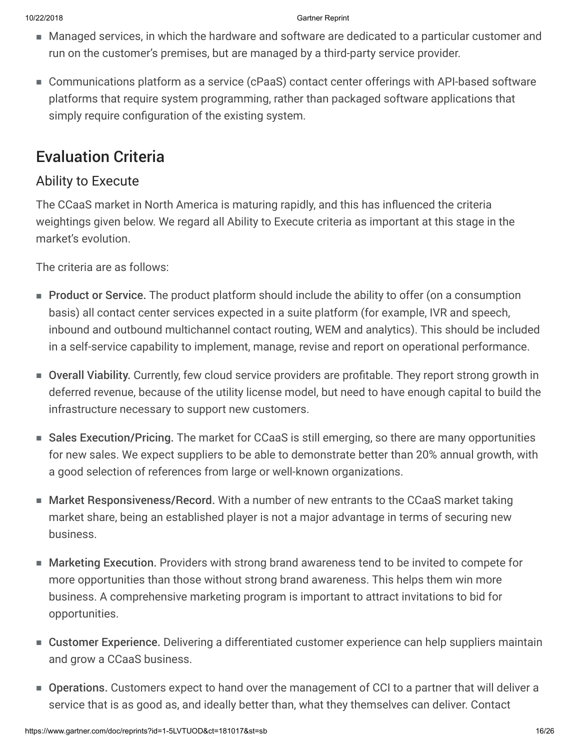- Managed services, in which the hardware and software are dedicated to a particular customer and run on the customer's premises, but are managed by a third-party service provider.
- Communications platform as a service (cPaaS) contact center offerings with API-based software platforms that require system programming, rather than packaged software applications that simply require configuration of the existing system.

# Evaluation Criteria

# Ability to Execute

The CCaaS market in North America is maturing rapidly, and this has influenced the criteria weightings given below. We regard all Ability to Execute criteria as important at this stage in the market's evolution.

The criteria are as follows:

- Product or Service. The product platform should include the ability to offer (on a consumption basis) all contact center services expected in a suite platform (for example, IVR and speech, inbound and outbound multichannel contact routing, WEM and analytics). This should be included in a self-service capability to implement, manage, revise and report on operational performance.
- Overall Viability. Currently, few cloud service providers are profitable. They report strong growth in deferred revenue, because of the utility license model, but need to have enough capital to build the infrastructure necessary to support new customers.
- Sales Execution/Pricing. The market for CCaaS is still emerging, so there are many opportunities for new sales. We expect suppliers to be able to demonstrate better than 20% annual growth, with a good selection of references from large or well-known organizations.
- Market Responsiveness/Record. With a number of new entrants to the CCaaS market taking market share, being an established player is not a major advantage in terms of securing new business.
- Marketing Execution. Providers with strong brand awareness tend to be invited to compete for more opportunities than those without strong brand awareness. This helps them win more business. A comprehensive marketing program is important to attract invitations to bid for opportunities.
- Customer Experience. Delivering a differentiated customer experience can help suppliers maintain and grow a CCaaS business.
- Operations. Customers expect to hand over the management of CCI to a partner that will deliver a service that is as good as, and ideally better than, what they themselves can deliver. Contact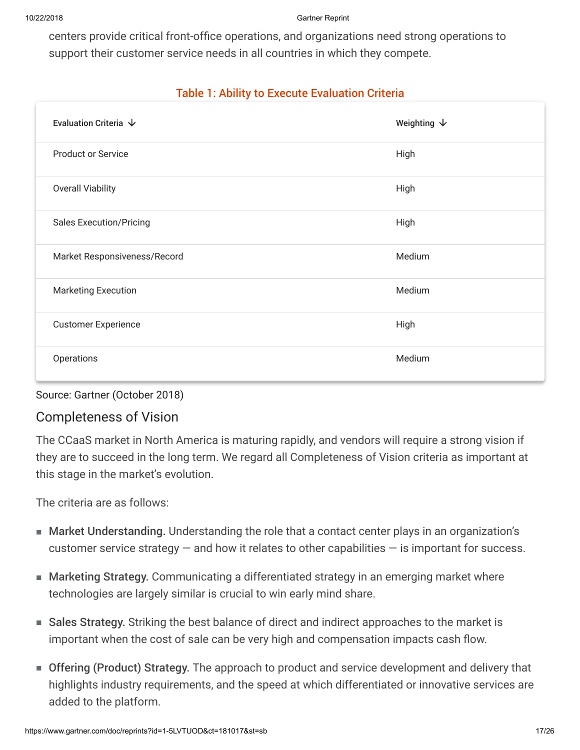centers provide critical front-office operations, and organizations need strong operations to support their customer service needs in all countries in which they compete.

## Table 1: Ability to Execute Evaluation Criteria

| Evaluation Criteria $\,\,\downarrow$ | Weighting $\downarrow$ |
|--------------------------------------|------------------------|
| <b>Product or Service</b>            | High                   |
| <b>Overall Viability</b>             | High                   |
| <b>Sales Execution/Pricing</b>       | High                   |
| Market Responsiveness/Record         | Medium                 |
| <b>Marketing Execution</b>           | Medium                 |
| <b>Customer Experience</b>           | High                   |
| Operations                           | Medium                 |

Source: Gartner (October 2018)

# Completeness of Vision

The CCaaS market in North America is maturing rapidly, and vendors will require a strong vision if they are to succeed in the long term. We regard all Completeness of Vision criteria as important at this stage in the market's evolution.

The criteria are as follows:

- Market Understanding. Understanding the role that a contact center plays in an organization's customer service strategy — and how it relates to other capabilities — is important for success.
- Marketing Strategy. Communicating a differentiated strategy in an emerging market where technologies are largely similar is crucial to win early mind share.
- Sales Strategy. Striking the best balance of direct and indirect approaches to the market is important when the cost of sale can be very high and compensation impacts cash flow.
- Offering (Product) Strategy. The approach to product and service development and delivery that highlights industry requirements, and the speed at which differentiated or innovative services are added to the platform.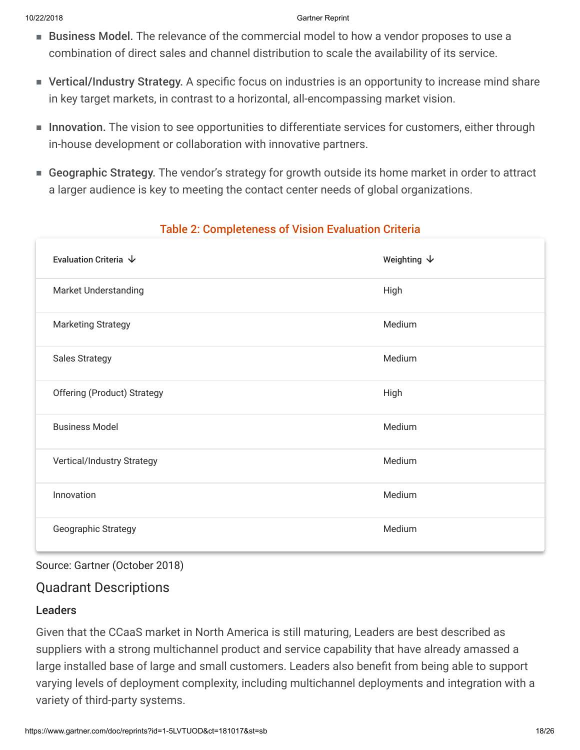- Business Model. The relevance of the commercial model to how a vendor proposes to use a combination of direct sales and channel distribution to scale the availability of its service.
- Vertical/Industry Strategy. A specific focus on industries is an opportunity to increase mind share in key target markets, in contrast to a horizontal, all-encompassing market vision.
- Innovation. The vision to see opportunities to differentiate services for customers, either through in-house development or collaboration with innovative partners.
- Geographic Strategy. The vendor's strategy for growth outside its home market in order to attract a larger audience is key to meeting the contact center needs of global organizations.

| Evaluation Criteria $\,\,\downarrow$ | Weighting $\downarrow$ |
|--------------------------------------|------------------------|
| <b>Market Understanding</b>          | High                   |
| <b>Marketing Strategy</b>            | Medium                 |
| <b>Sales Strategy</b>                | Medium                 |
| <b>Offering (Product) Strategy</b>   | High                   |
| <b>Business Model</b>                | Medium                 |
| Vertical/Industry Strategy           | Medium                 |
| Innovation                           | Medium                 |
| Geographic Strategy                  | Medium                 |

# Table 2: Completeness of Vision Evaluation Criteria

## Source: Gartner (October 2018)

# Quadrant Descriptions

## Leaders

Given that the CCaaS market in North America is still maturing, Leaders are best described as suppliers with a strong multichannel product and service capability that have already amassed a large installed base of large and small customers. Leaders also benefit from being able to support varying levels of deployment complexity, including multichannel deployments and integration with a variety of third-party systems.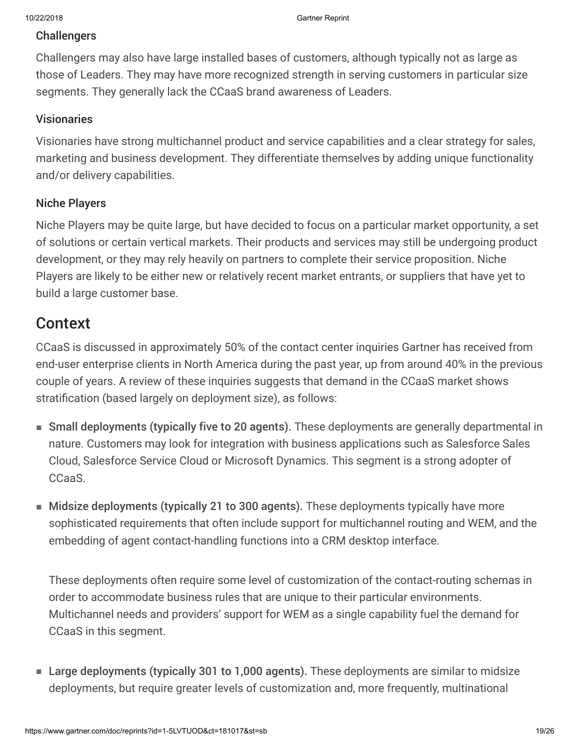#### **Challengers**

Challengers may also have large installed bases of customers, although typically not as large as those of Leaders. They may have more recognized strength in serving customers in particular size segments. They generally lack the CCaaS brand awareness of Leaders.

#### Visionaries

Visionaries have strong multichannel product and service capabilities and a clear strategy for sales, marketing and business development. They differentiate themselves by adding unique functionality and/or delivery capabilities.

#### Niche Players

Niche Players may be quite large, but have decided to focus on a particular market opportunity, a set of solutions or certain vertical markets. Their products and services may still be undergoing product development, or they may rely heavily on partners to complete their service proposition. Niche Players are likely to be either new or relatively recent market entrants, or suppliers that have yet to build a large customer base.

# Context

CCaaS is discussed in approximately 50% of the contact center inquiries Gartner has received from end-user enterprise clients in North America during the past year, up from around 40% in the previous couple of years. A review of these inquiries suggests that demand in the CCaaS market shows stratification (based largely on deployment size), as follows:

- Small deployments (typically five to 20 agents). These deployments are generally departmental in nature. Customers may look for integration with business applications such as Salesforce Sales Cloud, Salesforce Service Cloud or Microsoft Dynamics. This segment is a strong adopter of CCaaS.
- Midsize deployments (typically 21 to 300 agents). These deployments typically have more sophisticated requirements that often include support for multichannel routing and WEM, and the embedding of agent contact-handling functions into a CRM desktop interface.

These deployments often require some level of customization of the contact-routing schemas in order to accommodate business rules that are unique to their particular environments. Multichannel needs and providers' support for WEM as a single capability fuel the demand for CCaaS in this segment.

■ Large deployments (typically 301 to 1,000 agents). These deployments are similar to midsize deployments, but require greater levels of customization and, more frequently, multinational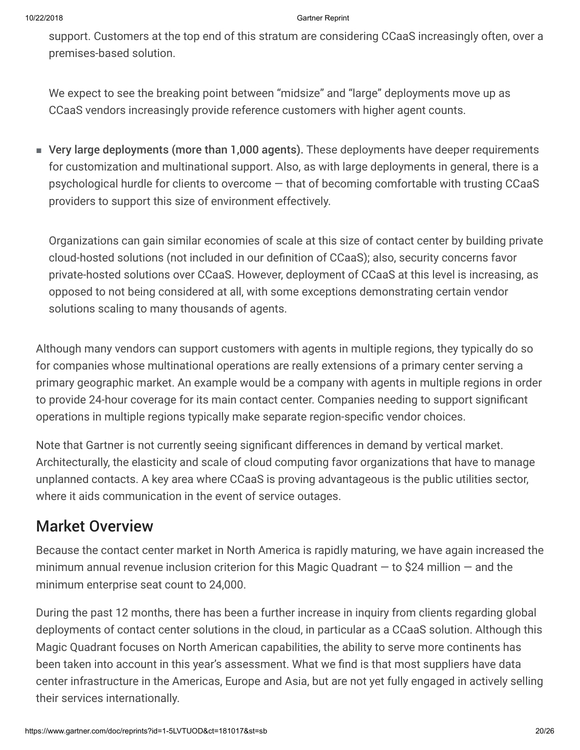support. Customers at the top end of this stratum are considering CCaaS increasingly often, over a premises-based solution.

We expect to see the breaking point between "midsize" and "large" deployments move up as CCaaS vendors increasingly provide reference customers with higher agent counts.

■ Very large deployments (more than 1,000 agents). These deployments have deeper requirements for customization and multinational support. Also, as with large deployments in general, there is a psychological hurdle for clients to overcome — that of becoming comfortable with trusting CCaaS providers to support this size of environment effectively.

Organizations can gain similar economies of scale at this size of contact center by building private cloud-hosted solutions (not included in our definition of CCaaS); also, security concerns favor private-hosted solutions over CCaaS. However, deployment of CCaaS at this level is increasing, as opposed to not being considered at all, with some exceptions demonstrating certain vendor solutions scaling to many thousands of agents.

Although many vendors can support customers with agents in multiple regions, they typically do so for companies whose multinational operations are really extensions of a primary center serving a primary geographic market. An example would be a company with agents in multiple regions in order to provide 24-hour coverage for its main contact center. Companies needing to support significant operations in multiple regions typically make separate region-specific vendor choices.

Note that Gartner is not currently seeing significant differences in demand by vertical market. Architecturally, the elasticity and scale of cloud computing favor organizations that have to manage unplanned contacts. A key area where CCaaS is proving advantageous is the public utilities sector, where it aids communication in the event of service outages.

# Market Overview

Because the contact center market in North America is rapidly maturing, we have again increased the minimum annual revenue inclusion criterion for this Magic Quadrant  $-$  to \$24 million  $-$  and the minimum enterprise seat count to 24,000.

During the past 12 months, there has been a further increase in inquiry from clients regarding global deployments of contact center solutions in the cloud, in particular as a CCaaS solution. Although this Magic Quadrant focuses on North American capabilities, the ability to serve more continents has been taken into account in this year's assessment. What we find is that most suppliers have data center infrastructure in the Americas, Europe and Asia, but are not yet fully engaged in actively selling their services internationally.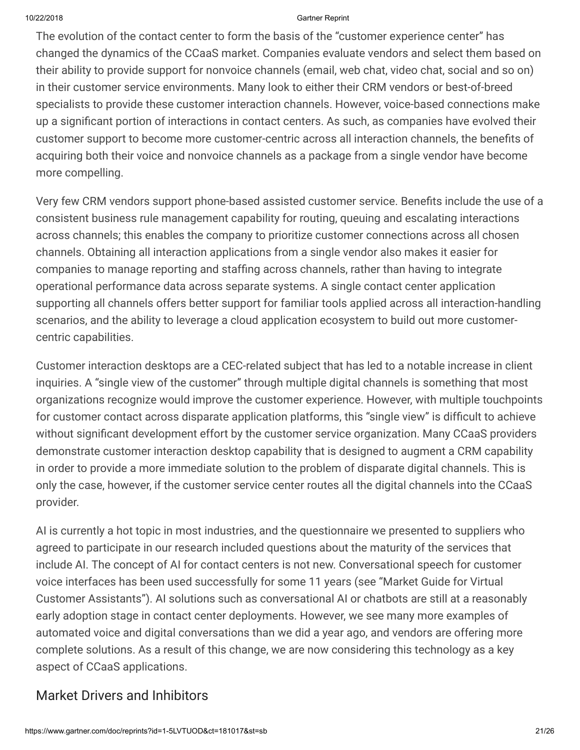The evolution of the contact center to form the basis of the "customer experience center" has changed the dynamics of the CCaaS market. Companies evaluate vendors and select them based on their ability to provide support for nonvoice channels (email, web chat, video chat, social and so on) in their customer service environments. Many look to either their CRM vendors or best-of-breed specialists to provide these customer interaction channels. However, voice-based connections make up a significant portion of interactions in contact centers. As such, as companies have evolved their customer support to become more customer-centric across all interaction channels, the benefits of acquiring both their voice and nonvoice channels as a package from a single vendor have become more compelling.

Very few CRM vendors support phone-based assisted customer service. Benefits include the use of a consistent business rule management capability for routing, queuing and escalating interactions across channels; this enables the company to prioritize customer connections across all chosen channels. Obtaining all interaction applications from a single vendor also makes it easier for companies to manage reporting and staffing across channels, rather than having to integrate operational performance data across separate systems. A single contact center application supporting all channels offers better support for familiar tools applied across all interaction-handling scenarios, and the ability to leverage a cloud application ecosystem to build out more customercentric capabilities.

Customer interaction desktops are a CEC-related subject that has led to a notable increase in client inquiries. A "single view of the customer" through multiple digital channels is something that most organizations recognize would improve the customer experience. However, with multiple touchpoints for customer contact across disparate application platforms, this "single view" is difficult to achieve without significant development effort by the customer service organization. Many CCaaS providers demonstrate customer interaction desktop capability that is designed to augment a CRM capability in order to provide a more immediate solution to the problem of disparate digital channels. This is only the case, however, if the customer service center routes all the digital channels into the CCaaS provider.

AI is currently a hot topic in most industries, and the questionnaire we presented to suppliers who agreed to participate in our research included questions about the maturity of the services that include AI. The concept of AI for contact centers is not new. Conversational speech for customer voice interfaces has been used successfully for some 11 years (see "Market Guide for Virtual Customer Assistants"). AI solutions such as conversational AI or chatbots are still at a reasonably early adoption stage in contact center deployments. However, we see many more examples of automated voice and digital conversations than we did a year ago, and vendors are offering more complete solutions. As a result of this change, we are now considering this technology as a key aspect of CCaaS applications.

# Market Drivers and Inhibitors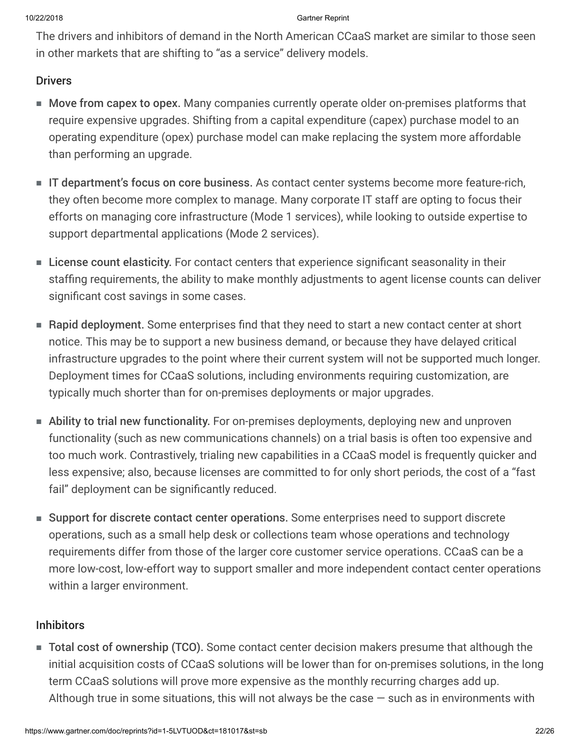The drivers and inhibitors of demand in the North American CCaaS market are similar to those seen in other markets that are shifting to "as a service" delivery models.

## **Drivers**

- Move from capex to opex. Many companies currently operate older on-premises platforms that require expensive upgrades. Shifting from a capital expenditure (capex) purchase model to an operating expenditure (opex) purchase model can make replacing the system more affordable than performing an upgrade.
- IT department's focus on core business. As contact center systems become more feature-rich, they often become more complex to manage. Many corporate IT staff are opting to focus their efforts on managing core infrastructure (Mode 1 services), while looking to outside expertise to support departmental applications (Mode 2 services).
- License count elasticity. For contact centers that experience significant seasonality in their staffing requirements, the ability to make monthly adjustments to agent license counts can deliver significant cost savings in some cases.
- Rapid deployment. Some enterprises find that they need to start a new contact center at short notice. This may be to support a new business demand, or because they have delayed critical infrastructure upgrades to the point where their current system will not be supported much longer. Deployment times for CCaaS solutions, including environments requiring customization, are typically much shorter than for on-premises deployments or major upgrades.
- Ability to trial new functionality. For on-premises deployments, deploying new and unproven functionality (such as new communications channels) on a trial basis is often too expensive and too much work. Contrastively, trialing new capabilities in a CCaaS model is frequently quicker and less expensive; also, because licenses are committed to for only short periods, the cost of a "fast fail" deployment can be significantly reduced.
- Support for discrete contact center operations. Some enterprises need to support discrete operations, such as a small help desk or collections team whose operations and technology requirements differ from those of the larger core customer service operations. CCaaS can be a more low-cost, low-effort way to support smaller and more independent contact center operations within a larger environment.

#### Inhibitors

■ Total cost of ownership (TCO). Some contact center decision makers presume that although the initial acquisition costs of CCaaS solutions will be lower than for on-premises solutions, in the long term CCaaS solutions will prove more expensive as the monthly recurring charges add up. Although true in some situations, this will not always be the case  $-$  such as in environments with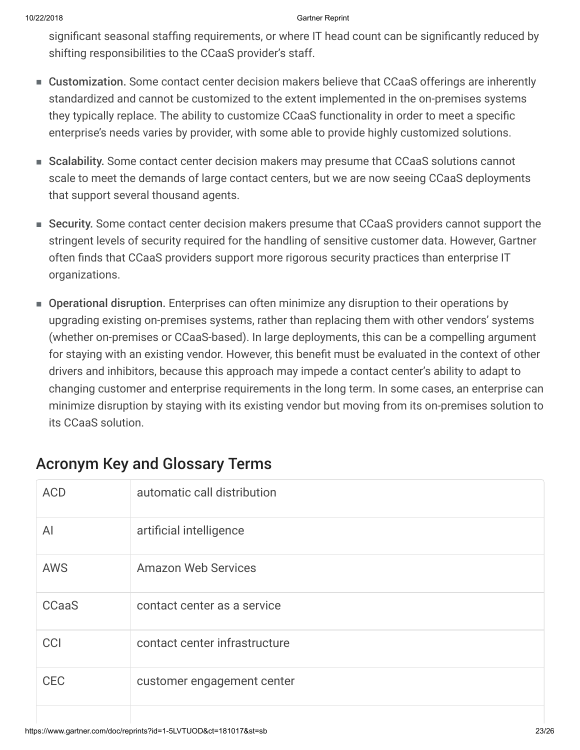significant seasonal staffing requirements, or where IT head count can be significantly reduced by shifting responsibilities to the CCaaS provider's staff.

- Customization. Some contact center decision makers believe that CCaaS offerings are inherently standardized and cannot be customized to the extent implemented in the on-premises systems they typically replace. The ability to customize CCaaS functionality in order to meet a specific enterprise's needs varies by provider, with some able to provide highly customized solutions.
- Scalability. Some contact center decision makers may presume that CCaaS solutions cannot scale to meet the demands of large contact centers, but we are now seeing CCaaS deployments that support several thousand agents.
- Security. Some contact center decision makers presume that CCaaS providers cannot support the stringent levels of security required for the handling of sensitive customer data. However, Gartner often finds that CCaaS providers support more rigorous security practices than enterprise IT organizations.
- Operational disruption. Enterprises can often minimize any disruption to their operations by upgrading existing on-premises systems, rather than replacing them with other vendors' systems (whether on-premises or CCaaS-based). In large deployments, this can be a compelling argument for staying with an existing vendor. However, this benefit must be evaluated in the context of other drivers and inhibitors, because this approach may impede a contact center's ability to adapt to changing customer and enterprise requirements in the long term. In some cases, an enterprise can minimize disruption by staying with its existing vendor but moving from its on-premises solution to its CCaaS solution.

| <b>ACD</b>   | automatic call distribution   |
|--------------|-------------------------------|
| Al           | artificial intelligence       |
| <b>AWS</b>   | <b>Amazon Web Services</b>    |
| <b>CCaaS</b> | contact center as a service   |
| <b>CCI</b>   | contact center infrastructure |
| <b>CEC</b>   | customer engagement center    |
|              |                               |

# Acronym Key and Glossary Terms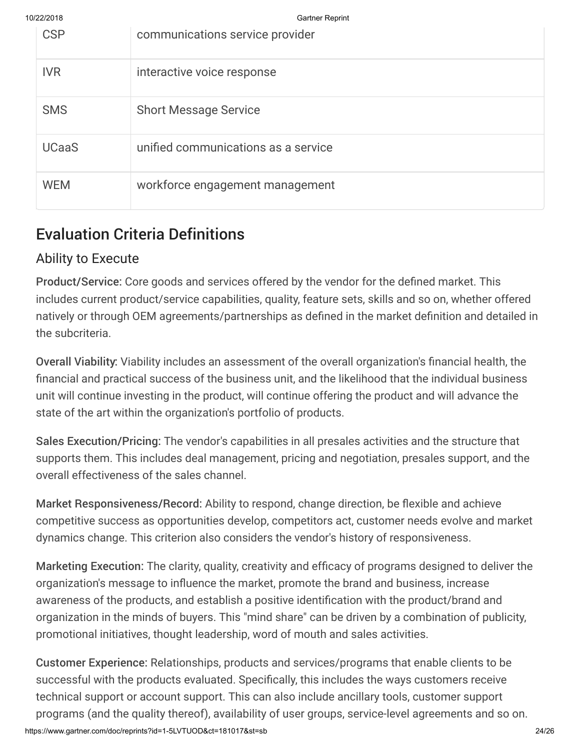| 10/22/2018 |              | <b>Gartner Reprint</b>              |
|------------|--------------|-------------------------------------|
|            | <b>CSP</b>   | communications service provider     |
|            | <b>IVR</b>   | interactive voice response          |
|            | <b>SMS</b>   | <b>Short Message Service</b>        |
|            | <b>UCaaS</b> | unified communications as a service |
|            | <b>WEM</b>   | workforce engagement management     |

# Evaluation Criteria Definitions

# Ability to Execute

Product/Service: Core goods and services offered by the vendor for the defined market. This includes current product/service capabilities, quality, feature sets, skills and so on, whether offered natively or through OEM agreements/partnerships as defined in the market definition and detailed in the subcriteria.

Overall Viability: Viability includes an assessment of the overall organization's financial health, the financial and practical success of the business unit, and the likelihood that the individual business unit will continue investing in the product, will continue offering the product and will advance the state of the art within the organization's portfolio of products.

Sales Execution/Pricing: The vendor's capabilities in all presales activities and the structure that supports them. This includes deal management, pricing and negotiation, presales support, and the overall effectiveness of the sales channel.

Market Responsiveness/Record: Ability to respond, change direction, be flexible and achieve competitive success as opportunities develop, competitors act, customer needs evolve and market dynamics change. This criterion also considers the vendor's history of responsiveness.

Marketing Execution: The clarity, quality, creativity and efficacy of programs designed to deliver the organization's message to influence the market, promote the brand and business, increase awareness of the products, and establish a positive identification with the product/brand and organization in the minds of buyers. This "mind share" can be driven by a combination of publicity, promotional initiatives, thought leadership, word of mouth and sales activities.

Customer Experience: Relationships, products and services/programs that enable clients to be successful with the products evaluated. Specifically, this includes the ways customers receive technical support or account support. This can also include ancillary tools, customer support programs (and the quality thereof), availability of user groups, service-level agreements and so on.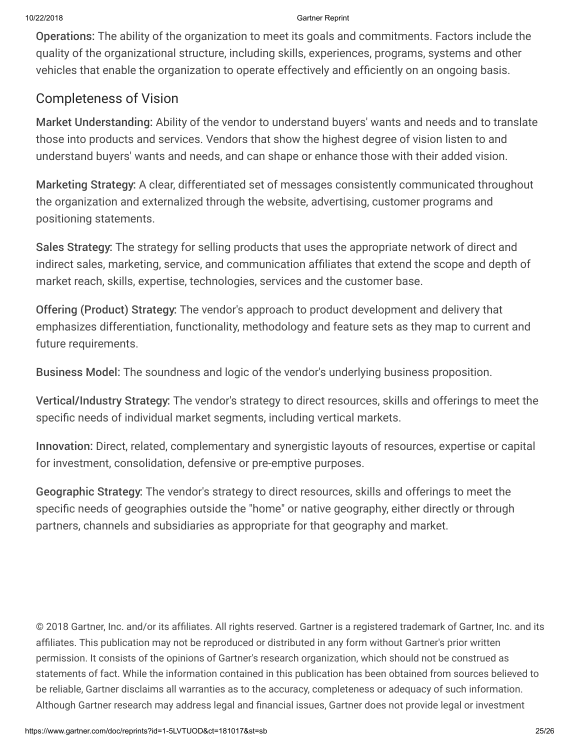Operations: The ability of the organization to meet its goals and commitments. Factors include the quality of the organizational structure, including skills, experiences, programs, systems and other vehicles that enable the organization to operate effectively and efficiently on an ongoing basis.

# Completeness of Vision

Market Understanding: Ability of the vendor to understand buyers' wants and needs and to translate those into products and services. Vendors that show the highest degree of vision listen to and understand buyers' wants and needs, and can shape or enhance those with their added vision.

Marketing Strategy: A clear, differentiated set of messages consistently communicated throughout the organization and externalized through the website, advertising, customer programs and positioning statements.

Sales Strategy: The strategy for selling products that uses the appropriate network of direct and indirect sales, marketing, service, and communication affiliates that extend the scope and depth of market reach, skills, expertise, technologies, services and the customer base.

Offering (Product) Strategy: The vendor's approach to product development and delivery that emphasizes differentiation, functionality, methodology and feature sets as they map to current and future requirements.

Business Model: The soundness and logic of the vendor's underlying business proposition.

Vertical/Industry Strategy: The vendor's strategy to direct resources, skills and offerings to meet the specific needs of individual market segments, including vertical markets.

Innovation: Direct, related, complementary and synergistic layouts of resources, expertise or capital for investment, consolidation, defensive or pre-emptive purposes.

Geographic Strategy: The vendor's strategy to direct resources, skills and offerings to meet the specific needs of geographies outside the "home" or native geography, either directly or through partners, channels and subsidiaries as appropriate for that geography and market.

© 2018 Gartner, Inc. and/or its affiliates. All rights reserved. Gartner is a registered trademark of Gartner, Inc. and its affiliates. This publication may not be reproduced or distributed in any form without Gartner's prior written permission. It consists of the opinions of Gartner's research organization, which should not be construed as statements of fact. While the information contained in this publication has been obtained from sources believed to be reliable, Gartner disclaims all warranties as to the accuracy, completeness or adequacy of such information. Although Gartner research may address legal and financial issues, Gartner does not provide legal or investment